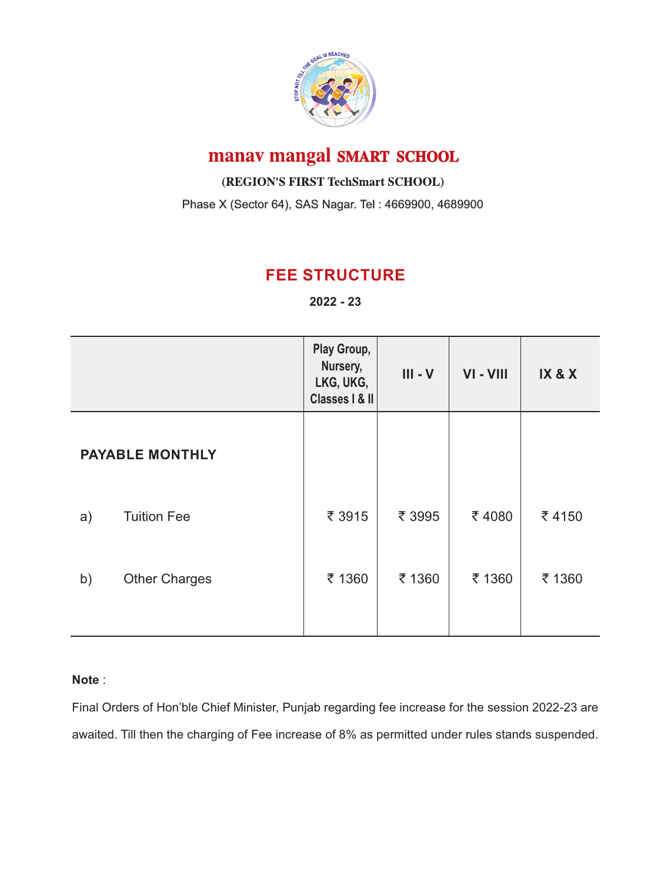

## manav mangal SMART SCHOOL

(REGION'S FIRST TechSmart SCHOOL)

Phase X (Sector 64), SAS Nagar. Tel : 4669900, 4689900

### **FEE STRUCTURE**

**2022 - 23**

|                        |                      | Play Group,<br>Nursery,<br>LKG, UKG,<br>Classes   & II | $III - V$ | VI-VIII | IX & X |
|------------------------|----------------------|--------------------------------------------------------|-----------|---------|--------|
| <b>PAYABLE MONTHLY</b> |                      |                                                        |           |         |        |
| a)                     | <b>Tuition Fee</b>   | ₹ 3915                                                 | ₹ 3995    | ₹4080   | ₹4150  |
| b)                     | <b>Other Charges</b> | ₹ 1360                                                 | ₹ 1360    | ₹ 1360  | ₹ 1360 |

#### **Note** :

Final Orders of Hon'ble Chief Minister, Punjab regarding fee increase for the session 2022-23 are awaited. Till then the charging of Fee increase of 8% as permitted under rules stands suspended.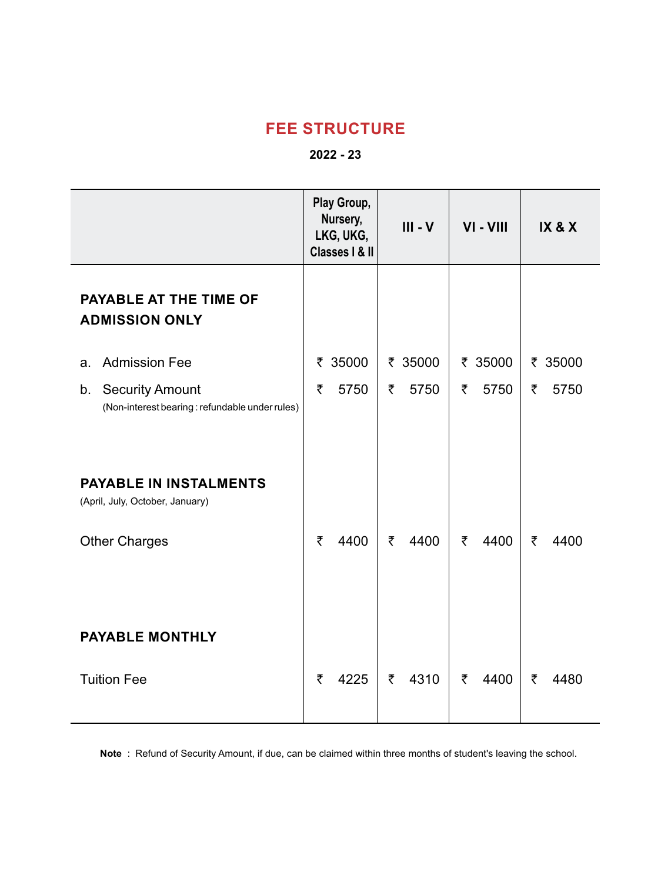#### **FEE STRUCTURE**

#### **2022 - 23**

|                                                                                | Play Group,<br>Nursery,<br>LKG, UKG,<br>Classes   & II | $III - V$ | VI-VIII   | IX & X    |
|--------------------------------------------------------------------------------|--------------------------------------------------------|-----------|-----------|-----------|
| PAYABLE AT THE TIME OF<br><b>ADMISSION ONLY</b>                                |                                                        |           |           |           |
| <b>Admission Fee</b><br>a.                                                     | ₹ 35000                                                | ₹ 35000   | ₹ 35000   | ₹ 35000   |
| <b>Security Amount</b><br>b.<br>(Non-interest bearing: refundable under rules) | 5750<br>₹                                              | ₹<br>5750 | ₹<br>5750 | ₹<br>5750 |
| <b>PAYABLE IN INSTALMENTS</b><br>(April, July, October, January)               |                                                        |           |           |           |
| <b>Other Charges</b>                                                           | ₹<br>4400                                              | ₹<br>4400 | ₹<br>4400 | ₹<br>4400 |
| <b>PAYABLE MONTHLY</b>                                                         |                                                        |           |           |           |
| <b>Tuition Fee</b>                                                             | ₹<br>4225                                              | ₹<br>4310 | ₹<br>4400 | ₹<br>4480 |

**Note** : Refund of Security Amount, if due, can be claimed within three months of student's leaving the school.